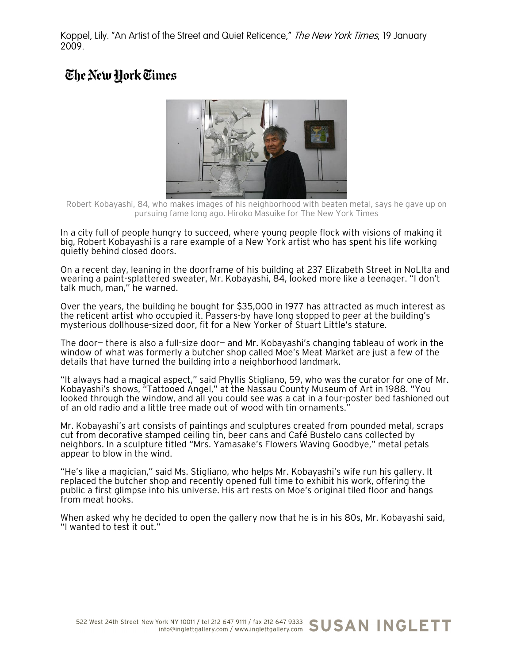Koppel, Lily. "An Artist of the Street and Quiet Reticence," The New York Times, 19 January 2009.

## The New Hork Times



Robert Kobayashi, 84, who makes images of his neighborhood with beaten metal, says he gave up on pursuing fame long ago. Hiroko Masuike for The New York Times

In a city full of people hungry to succeed, where young people flock with visions of making it big, Robert Kobayashi is a rare example of a New York artist who has spent his life working quietly behind closed doors.

On a recent day, leaning in the doorframe of his building at 237 Elizabeth Street in NoLIta and wearing a paint-splattered sweater, Mr. Kobayashi, 84, looked more like a teenager. "I don't talk much, man," he warned.

Over the years, the building he bought for \$35,000 in 1977 has attracted as much interest as the reticent artist who occupied it. Passers-by have long stopped to peer at the building's mysterious dollhouse-sized door, fit for a New Yorker of Stuart Little's stature.

The door— there is also a full-size door— and Mr. Kobayashi's changing tableau of work in the window of what was formerly a butcher shop called Moe's Meat Market are just a few of the details that have turned the building into a neighborhood landmark.

"It always had a magical aspect," said Phyllis Stigliano, 59, who was the curator for one of Mr. Kobayashi's shows, "Tattooed Angel," at the Nassau County Museum of Art in 1988. "You looked through the window, and all you could see was a cat in a four-poster bed fashioned out of an old radio and a little tree made out of wood with tin ornaments."

Mr. Kobayashi's art consists of paintings and sculptures created from pounded metal, scraps cut from decorative stamped ceiling tin, beer cans and Café Bustelo cans collected by neighbors. In a sculpture titled "Mrs. Yamasake's Flowers Waving Goodbye," metal petals appear to blow in the wind.

"He's like a magician," said Ms. Stigliano, who helps Mr. Kobayashi's wife run his gallery. It replaced the butcher shop and recently opened full time to exhibit his work, offering the public a first glimpse into his universe. His art rests on Moe's original tiled floor and hangs from meat hooks.

When asked why he decided to open the gallery now that he is in his 80s, Mr. Kobayashi said, "I wanted to test it out."